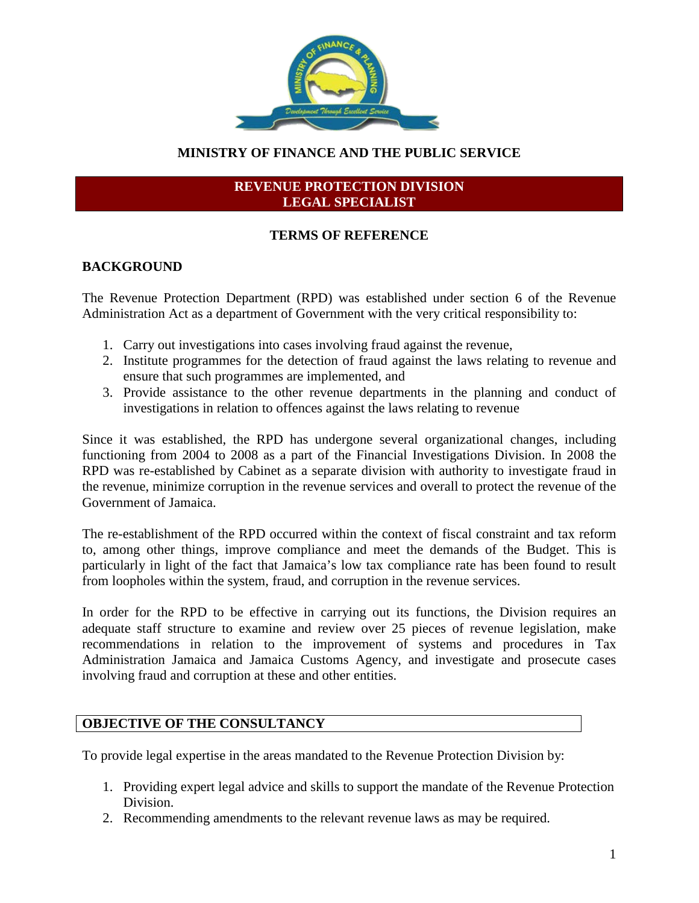

# **MINISTRY OF FINANCE AND THE PUBLIC SERVICE**

#### **REVENUE PROTECTION DIVISION LEGAL SPECIALIST**

# **TERMS OF REFERENCE**

#### **BACKGROUND**

The Revenue Protection Department (RPD) was established under section 6 of the Revenue Administration Act as a department of Government with the very critical responsibility to:

- 1. Carry out investigations into cases involving fraud against the revenue,
- 2. Institute programmes for the detection of fraud against the laws relating to revenue and ensure that such programmes are implemented, and
- 3. Provide assistance to the other revenue departments in the planning and conduct of investigations in relation to offences against the laws relating to revenue

Since it was established, the RPD has undergone several organizational changes, including functioning from 2004 to 2008 as a part of the Financial Investigations Division. In 2008 the RPD was re-established by Cabinet as a separate division with authority to investigate fraud in the revenue, minimize corruption in the revenue services and overall to protect the revenue of the Government of Jamaica.

The re-establishment of the RPD occurred within the context of fiscal constraint and tax reform to, among other things, improve compliance and meet the demands of the Budget. This is particularly in light of the fact that Jamaica's low tax compliance rate has been found to result from loopholes within the system, fraud, and corruption in the revenue services.

In order for the RPD to be effective in carrying out its functions, the Division requires an adequate staff structure to examine and review over 25 pieces of revenue legislation, make recommendations in relation to the improvement of systems and procedures in Tax Administration Jamaica and Jamaica Customs Agency, and investigate and prosecute cases involving fraud and corruption at these and other entities.

## **OBJECTIVE OF THE CONSULTANCY**

To provide legal expertise in the areas mandated to the Revenue Protection Division by:

- 1. Providing expert legal advice and skills to support the mandate of the Revenue Protection Division.
- 2. Recommending amendments to the relevant revenue laws as may be required.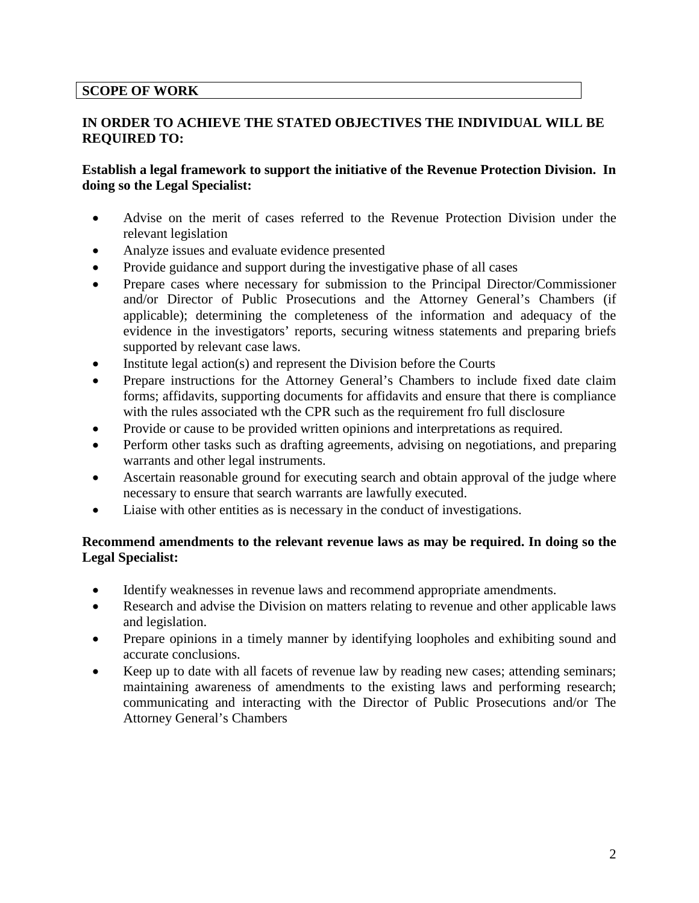#### **SCOPE OF WORK**

#### **IN ORDER TO ACHIEVE THE STATED OBJECTIVES THE INDIVIDUAL WILL BE REQUIRED TO:**

#### **Establish a legal framework to support the initiative of the Revenue Protection Division. In doing so the Legal Specialist:**

- Advise on the merit of cases referred to the Revenue Protection Division under the relevant legislation
- Analyze issues and evaluate evidence presented
- Provide guidance and support during the investigative phase of all cases
- Prepare cases where necessary for submission to the Principal Director/Commissioner and/or Director of Public Prosecutions and the Attorney General's Chambers (if applicable); determining the completeness of the information and adequacy of the evidence in the investigators' reports, securing witness statements and preparing briefs supported by relevant case laws.
- Institute legal action(s) and represent the Division before the Courts
- Prepare instructions for the Attorney General's Chambers to include fixed date claim forms; affidavits, supporting documents for affidavits and ensure that there is compliance with the rules associated wth the CPR such as the requirement fro full disclosure
- Provide or cause to be provided written opinions and interpretations as required.
- Perform other tasks such as drafting agreements, advising on negotiations, and preparing warrants and other legal instruments.
- Ascertain reasonable ground for executing search and obtain approval of the judge where necessary to ensure that search warrants are lawfully executed.
- Liaise with other entities as is necessary in the conduct of investigations.

#### **Recommend amendments to the relevant revenue laws as may be required. In doing so the Legal Specialist:**

- Identify weaknesses in revenue laws and recommend appropriate amendments.
- Research and advise the Division on matters relating to revenue and other applicable laws and legislation.
- Prepare opinions in a timely manner by identifying loopholes and exhibiting sound and accurate conclusions.
- Keep up to date with all facets of revenue law by reading new cases; attending seminars; maintaining awareness of amendments to the existing laws and performing research; communicating and interacting with the Director of Public Prosecutions and/or The Attorney General's Chambers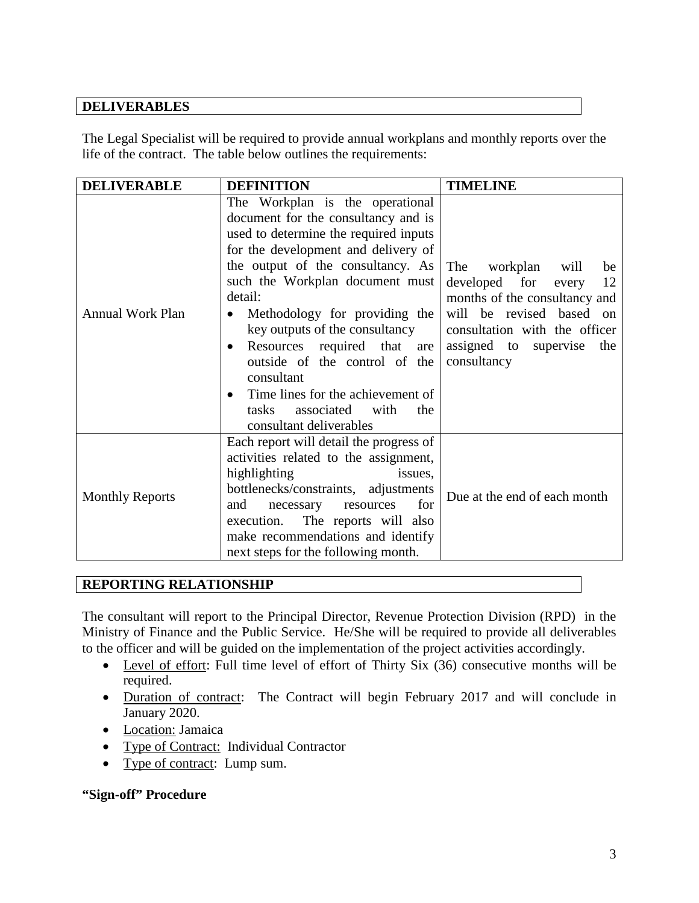# **DELIVERABLES**

The Legal Specialist will be required to provide annual workplans and monthly reports over the life of the contract. The table below outlines the requirements:

| <b>DELIVERABLE</b>      | <b>DEFINITION</b>                                                                                                                                                                                                                                                                                                                                                                                                                                                                                   | <b>TIMELINE</b>                                                                                                                                                                                            |
|-------------------------|-----------------------------------------------------------------------------------------------------------------------------------------------------------------------------------------------------------------------------------------------------------------------------------------------------------------------------------------------------------------------------------------------------------------------------------------------------------------------------------------------------|------------------------------------------------------------------------------------------------------------------------------------------------------------------------------------------------------------|
| <b>Annual Work Plan</b> | The Workplan is the operational<br>document for the consultancy and is<br>used to determine the required inputs<br>for the development and delivery of<br>the output of the consultancy. As<br>such the Workplan document must<br>detail:<br>Methodology for providing the<br>key outputs of the consultancy<br>Resources required that<br>are<br>outside of the control of the<br>consultant<br>Time lines for the achievement of<br>tasks<br>associated<br>with<br>the<br>consultant deliverables | The<br>workplan<br>will<br>be<br>developed for<br>12<br>every<br>months of the consultancy and<br>will be revised based on<br>consultation with the officer<br>assigned to supervise<br>the<br>consultancy |
| <b>Monthly Reports</b>  | Each report will detail the progress of<br>activities related to the assignment,<br>highlighting<br>issues,<br>bottlenecks/constraints, adjustments<br>for<br>and<br>necessary<br>resources<br>The reports will also<br>execution.<br>make recommendations and identify<br>next steps for the following month.                                                                                                                                                                                      | Due at the end of each month                                                                                                                                                                               |

# **REPORTING RELATIONSHIP**

The consultant will report to the Principal Director, Revenue Protection Division (RPD) in the Ministry of Finance and the Public Service. He/She will be required to provide all deliverables to the officer and will be guided on the implementation of the project activities accordingly.

- Level of effort: Full time level of effort of Thirty Six (36) consecutive months will be required.
- Duration of contract: The Contract will begin February 2017 and will conclude in January 2020.
- Location: Jamaica
- Type of Contract: Individual Contractor
- Type of contract: Lump sum.

#### **"Sign-off" Procedure**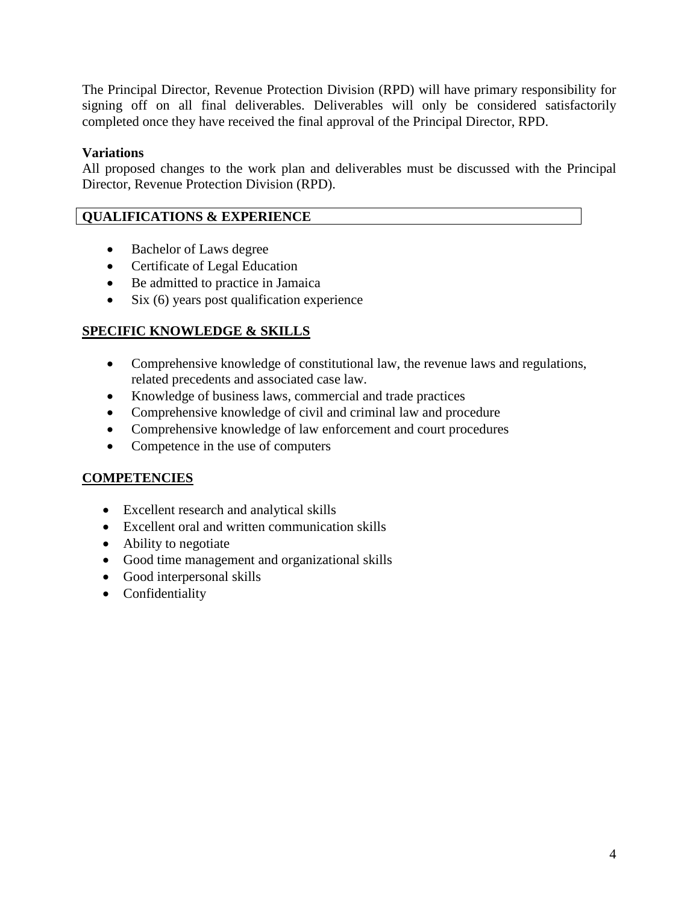The Principal Director, Revenue Protection Division (RPD) will have primary responsibility for signing off on all final deliverables. Deliverables will only be considered satisfactorily completed once they have received the final approval of the Principal Director, RPD.

## **Variations**

All proposed changes to the work plan and deliverables must be discussed with the Principal Director, Revenue Protection Division (RPD).

## **QUALIFICATIONS & EXPERIENCE**

- Bachelor of Laws degree
- Certificate of Legal Education
- Be admitted to practice in Jamaica
- Six (6) years post qualification experience

# **SPECIFIC KNOWLEDGE & SKILLS**

- Comprehensive knowledge of constitutional law, the revenue laws and regulations, related precedents and associated case law.
- Knowledge of business laws, commercial and trade practices
- Comprehensive knowledge of civil and criminal law and procedure
- Comprehensive knowledge of law enforcement and court procedures
- Competence in the use of computers

# **COMPETENCIES**

- Excellent research and analytical skills
- Excellent oral and written communication skills
- Ability to negotiate
- Good time management and organizational skills
- Good interpersonal skills
- Confidentiality